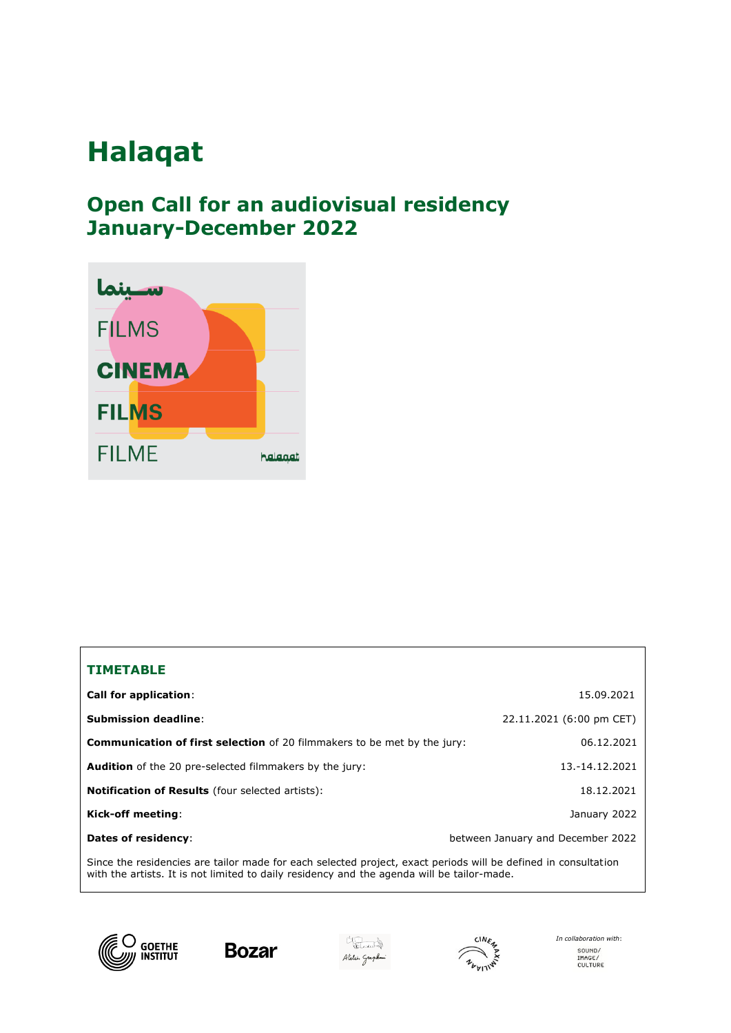# **Halaqat**

# **Open Call for an audiovisual residency January-December 2022**



#### **TIMETABLE**

| <b>Call for application:</b>                                                                                  | 15.09.2021                        |
|---------------------------------------------------------------------------------------------------------------|-----------------------------------|
| <b>Submission deadline:</b>                                                                                   | 22.11.2021 (6:00 pm CET)          |
| <b>Communication of first selection</b> of 20 filmmakers to be met by the jury:                               | 06.12.2021                        |
| <b>Audition</b> of the 20 pre-selected filmmakers by the jury:                                                | 13.-14.12.2021                    |
| <b>Notification of Results</b> (four selected artists):                                                       | 18.12.2021                        |
| Kick-off meeting:                                                                                             | January 2022                      |
| Dates of residency:                                                                                           | between January and December 2022 |
| Since the residencies are tailor made for each selected project exact periods will be defined in consultation |                                   |

Since the residencies are tailor made for each selected project, exact periods will be defined in consultation with the artists. It is not limited to daily residency and the agenda will be tailor-made.









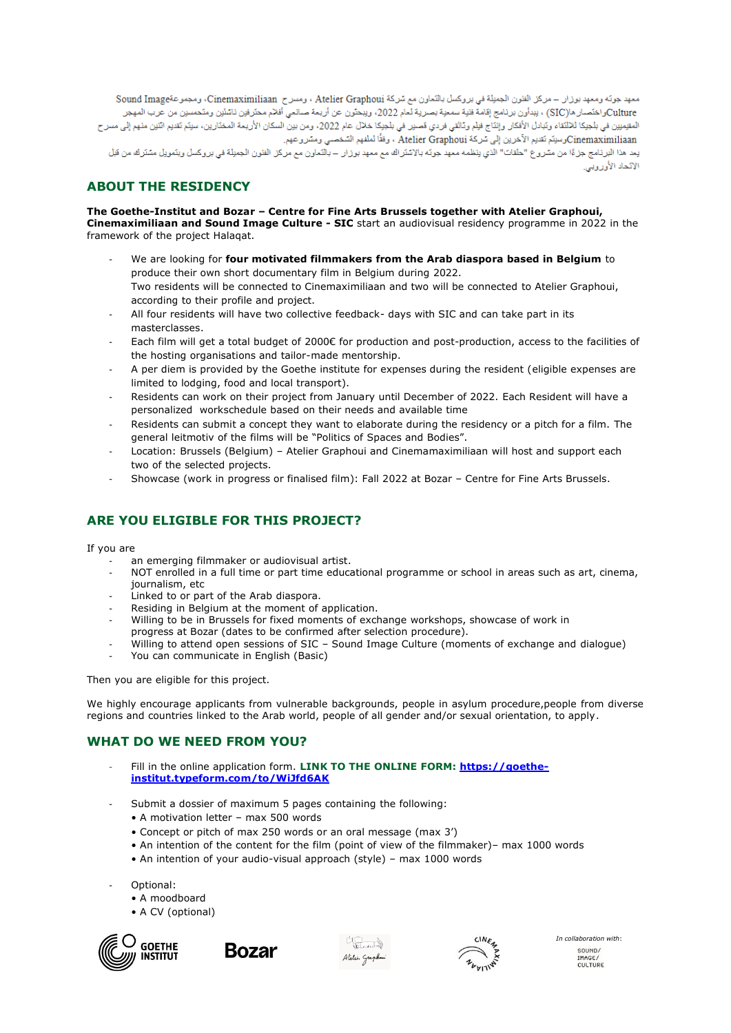معهد جونه ومعهد بوزار – مركز الظون الجملِلة في بروكسل بالتعاون مم شركة Atelier Graphoui ، ومسرح Cinemaximiliaan، ومجموعةSound Image Cultureواختصار ها(SIC) ، يبدأون برنامج إقامة فنية سمعية بصرية لعام 2022، ويبحثون عن أربعة صانعي أفلام محترفين ناشئين ومتحسين من عرب المهجر المقوميين في بلجيكا للالتقاء وتبادل الأفكار وإنتاج فيلم وتاثقي فردي قصير في بلجيكا خلال عام 2022، ومن بين السكان الأريعة المختارين، سيتم تقديم اتنين منهم إلى مسرح Cinemaximiliaanوسلِلَم لَقديم الأخرين إلى سُركة Atelier Graphoui ، وفقًا لملفهم السّخصـي ومسّروعهم. يعد هذا البرنامج جزءًا من مشروع "حلقات" الذي ينظمه معهد جوته بالإسّلراك مع معهد بوزار – بالتعاون مع مركز الفنون الجميلة في بروكسل ويتمويل مشترك من قبل الاتحاد الأوروبي.

## **ABOUT THE RESIDENCY**

**The Goethe-Institut and Bozar – Centre for Fine Arts Brussels together with Atelier Graphoui, Cinemaximiliaan and Sound Image Culture - SIC** start an audiovisual residency programme in 2022 in the framework of the project [Halaqat.](http://www.goethe.de/belgium/halaqat)

- We are looking for **four motivated filmmakers from the Arab diaspora based in Belgium** to produce their own short documentary film in Belgium during 2022. Two residents will be connected to Cinemaximiliaan and two will be connected to Atelier Graphoui, according to their profile and project.
- All four residents will have two collective feedback- days with SIC and can take part in its masterclasses.
- Each film will get a total budget of 2000€ for production and post-production, access to the facilities of the hosting organisations and tailor-made mentorship.
- A per diem is provided by the Goethe institute for expenses during the resident (eligible expenses are limited to lodging, food and local transport).
- Residents can work on their project from January until December of 2022. Each Resident will have a personalized workschedule based on their needs and available time
- Residents can submit a concept they want to elaborate during the residency or a pitch for a film. The general leitmotiv of the films will be "Politics of Spaces and Bodies".
- Location: Brussels (Belgium) Atelier Graphoui and Cinemamaximiliaan will host and support each two of the selected projects.
- Showcase (work in progress or finalised film): Fall 2022 at Bozar Centre for Fine Arts Brussels.

### **ARE YOU ELIGIBLE FOR THIS PROJECT?**

If you are

- an emerging filmmaker or audiovisual artist.
- NOT enrolled in a full time or part time educational programme or school in areas such as art, cinema, journalism, etc
- Linked to or part of the Arab diaspora.
- Residing in Belgium at the moment of application.
- Willing to be in Brussels for fixed moments of exchange workshops, showcase of work in progress at Bozar (dates to be confirmed after selection procedure).
- Willing to attend open sessions of SIC Sound Image Culture (moments of exchange and dialogue)
- You can communicate in English (Basic)

Then you are eligible for this project.

We highly encourage applicants from vulnerable backgrounds, people in asylum procedure,people from diverse regions and countries linked to the Arab world, people of all gender and/or sexual orientation, to apply.

#### **WHAT DO WE NEED FROM YOU?**

- Fill in the online application form. LINK TO THE ONLINE FORM: [https://goethe](https://goethe-institut.typeform.com/to/WiJfd6AK)**[institut.typeform.com/to/WiJfd6AK](https://goethe-institut.typeform.com/to/WiJfd6AK)**
- Submit a dossier of maximum 5 pages containing the following:
	- A motivation letter max 500 words
	- Concept or pitch of max 250 words or an oral message (max 3')
	- An intention of the content for the film (point of view of the filmmaker)– max 1000 words
	- An intention of your audio-visual approach (style) max 1000 words
- Optional:
	- A moodboard
	- A CV (optional)









*In collaboration with*: SOUND/<br>IMAGE/<br>CULTURE